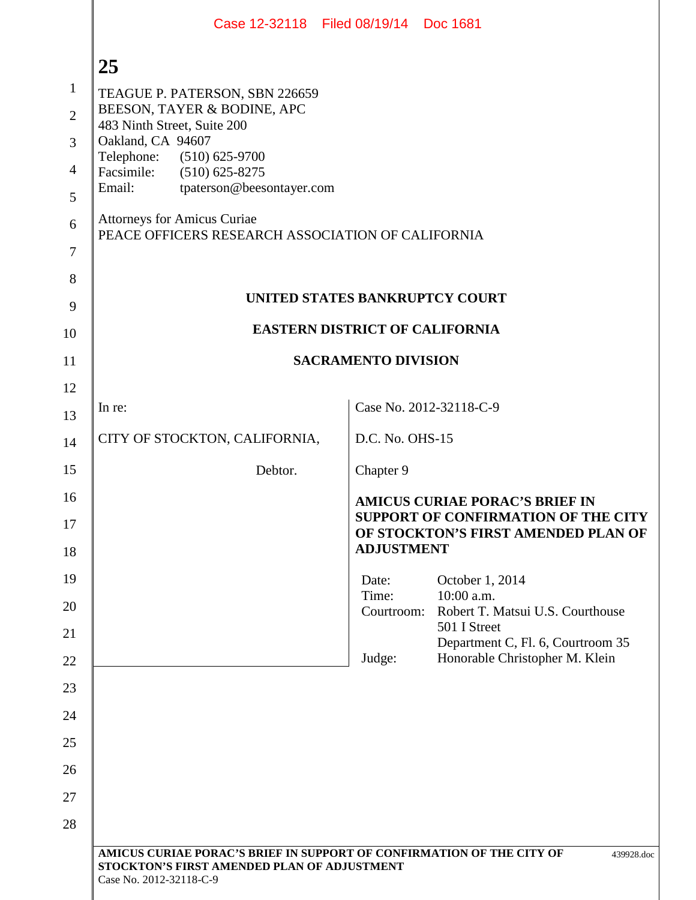|                | Case 12-32118 Filed 08/19/14 Doc 1681                                                                                                           |                                                                       |  |  |
|----------------|-------------------------------------------------------------------------------------------------------------------------------------------------|-----------------------------------------------------------------------|--|--|
|                | 25                                                                                                                                              |                                                                       |  |  |
| $\mathbf{1}$   | TEAGUE P. PATERSON, SBN 226659                                                                                                                  |                                                                       |  |  |
| $\overline{2}$ | BEESON, TAYER & BODINE, APC<br>483 Ninth Street, Suite 200                                                                                      |                                                                       |  |  |
| $\overline{3}$ | Oakland, CA 94607<br>Telephone: (510) 625-9700                                                                                                  |                                                                       |  |  |
| $\overline{4}$ | Facsimile:<br>$(510)$ 625-8275<br>Email:                                                                                                        |                                                                       |  |  |
| 5              | tpaterson@beesontayer.com                                                                                                                       |                                                                       |  |  |
| 6<br>$\tau$    | <b>Attorneys for Amicus Curiae</b><br>PEACE OFFICERS RESEARCH ASSOCIATION OF CALIFORNIA                                                         |                                                                       |  |  |
| 8              |                                                                                                                                                 |                                                                       |  |  |
| 9              |                                                                                                                                                 | UNITED STATES BANKRUPTCY COURT                                        |  |  |
| 10             | <b>EASTERN DISTRICT OF CALIFORNIA</b>                                                                                                           |                                                                       |  |  |
| 11             | <b>SACRAMENTO DIVISION</b>                                                                                                                      |                                                                       |  |  |
| 12             |                                                                                                                                                 |                                                                       |  |  |
| 13             | In re:                                                                                                                                          | Case No. 2012-32118-C-9                                               |  |  |
| 14             | CITY OF STOCKTON, CALIFORNIA,                                                                                                                   | D.C. No. OHS-15                                                       |  |  |
| 15             | Debtor.                                                                                                                                         | Chapter 9                                                             |  |  |
| 16             |                                                                                                                                                 | <b>AMICUS CURIAE PORAC'S BRIEF IN</b>                                 |  |  |
| 17<br>18       | SUPPORT OF CONFIRMATION OF THE CITY<br>OF STOCKTON'S FIRST AMENDED PLAN OF<br><b>ADJUSTMENT</b>                                                 |                                                                       |  |  |
| 19             |                                                                                                                                                 | October 1, 2014<br>Date:                                              |  |  |
| 20             |                                                                                                                                                 | Time:<br>10:00 a.m.<br>Robert T. Matsui U.S. Courthouse<br>Courtroom: |  |  |
| 21             |                                                                                                                                                 | 501 I Street<br>Department C, Fl. 6, Courtroom 35                     |  |  |
| 22             |                                                                                                                                                 | Honorable Christopher M. Klein<br>Judge:                              |  |  |
| 23             |                                                                                                                                                 |                                                                       |  |  |
| 24             |                                                                                                                                                 |                                                                       |  |  |
| 25             |                                                                                                                                                 |                                                                       |  |  |
| 26             |                                                                                                                                                 |                                                                       |  |  |
| 27             |                                                                                                                                                 |                                                                       |  |  |
| 28             |                                                                                                                                                 |                                                                       |  |  |
|                | AMICUS CURIAE PORAC'S BRIEF IN SUPPORT OF CONFIRMATION OF THE CITY OF<br>STOCKTON'S FIRST AMENDED PLAN OF ADJUSTMENT<br>Case No. 2012-32118-C-9 | 439928.doc                                                            |  |  |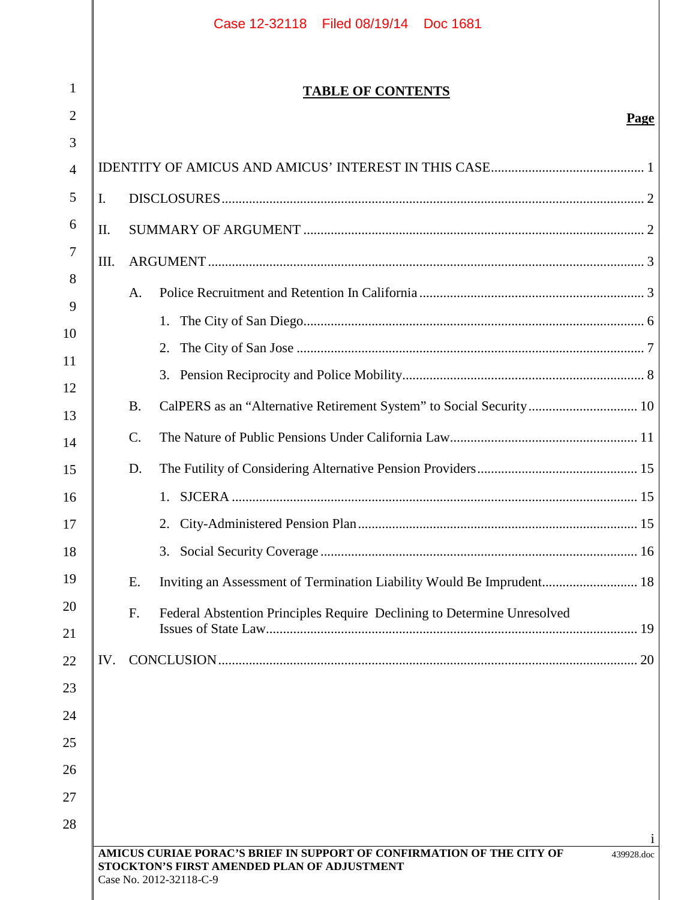|     | <b>TABLE OF CONTENTS</b> |                                                                         |      |  |
|-----|--------------------------|-------------------------------------------------------------------------|------|--|
|     |                          |                                                                         | Page |  |
|     |                          |                                                                         |      |  |
|     |                          |                                                                         |      |  |
|     | I.                       |                                                                         |      |  |
| Π.  |                          |                                                                         |      |  |
| Ш.  |                          |                                                                         |      |  |
|     | A.                       |                                                                         |      |  |
|     |                          | 1.                                                                      |      |  |
|     |                          | 2.                                                                      |      |  |
|     |                          | 3.                                                                      |      |  |
|     | <b>B.</b>                | CalPERS as an "Alternative Retirement System" to Social Security 10     |      |  |
|     | $\mathcal{C}$ .          |                                                                         |      |  |
|     | D.                       |                                                                         |      |  |
|     |                          |                                                                         |      |  |
|     |                          | 2.                                                                      |      |  |
|     |                          | 3.                                                                      |      |  |
|     | Ε.                       | Inviting an Assessment of Termination Liability Would Be Imprudent 18   |      |  |
|     | F.                       | Federal Abstention Principles Require Declining to Determine Unresolved |      |  |
|     |                          |                                                                         |      |  |
| IV. |                          |                                                                         |      |  |
|     |                          |                                                                         |      |  |
|     |                          |                                                                         |      |  |
|     |                          |                                                                         |      |  |
|     |                          |                                                                         |      |  |
|     |                          |                                                                         |      |  |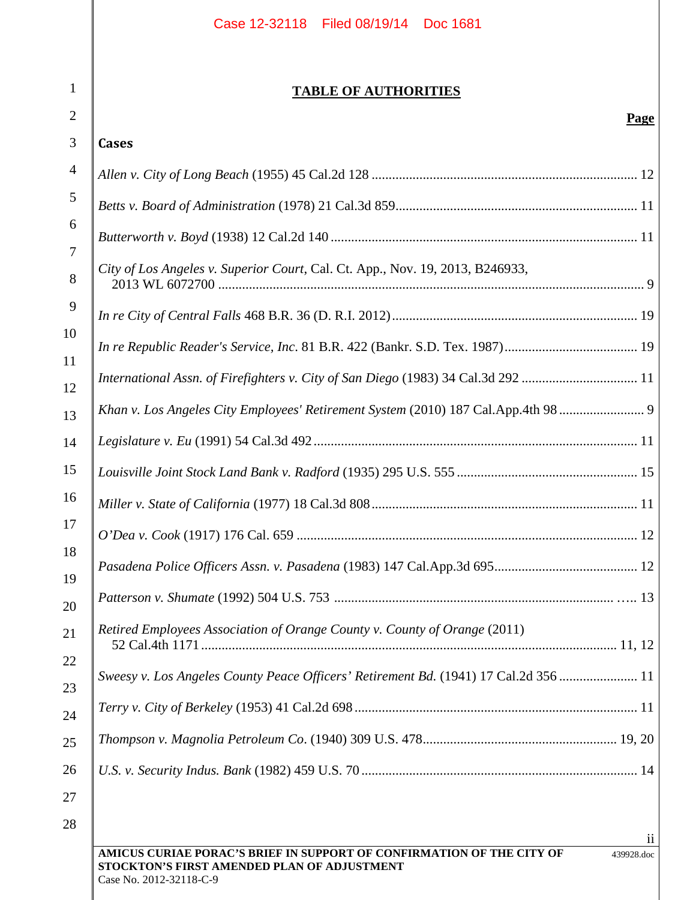| $\mathbf{1}$   | <b>TABLE OF AUTHORITIES</b>                                                          |  |  |
|----------------|--------------------------------------------------------------------------------------|--|--|
| $\overline{2}$ | <b>Page</b>                                                                          |  |  |
| 3              | <b>Cases</b>                                                                         |  |  |
| $\overline{4}$ |                                                                                      |  |  |
| 5              |                                                                                      |  |  |
| 6              |                                                                                      |  |  |
| 7<br>8         | City of Los Angeles v. Superior Court, Cal. Ct. App., Nov. 19, 2013, B246933,        |  |  |
| 9              |                                                                                      |  |  |
| 10             |                                                                                      |  |  |
| 11<br>12       | International Assn. of Firefighters v. City of San Diego (1983) 34 Cal.3d 292  11    |  |  |
| 13             | Khan v. Los Angeles City Employees' Retirement System (2010) 187 Cal.App.4th 98      |  |  |
| 14             |                                                                                      |  |  |
| 15             |                                                                                      |  |  |
| 16             |                                                                                      |  |  |
| 17             |                                                                                      |  |  |
| 18             |                                                                                      |  |  |
| 19             |                                                                                      |  |  |
| 20<br>21       | Retired Employees Association of Orange County v. County of Orange (2011)            |  |  |
| 22             | Sweesy v. Los Angeles County Peace Officers' Retirement Bd. (1941) 17 Cal.2d 356  11 |  |  |
| 23             |                                                                                      |  |  |
| 24<br>25       |                                                                                      |  |  |
| 26             |                                                                                      |  |  |
| 27             |                                                                                      |  |  |

ii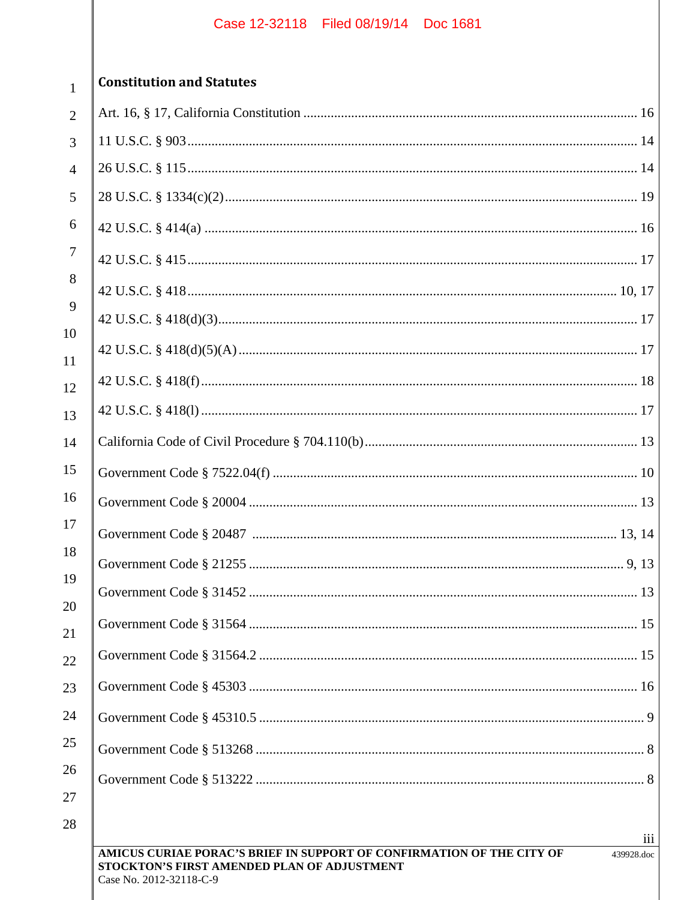| $\overline{2}$  |
|-----------------|
| 3               |
| $\overline{4}$  |
| 5               |
| 6               |
| $\overline{7}$  |
| 8               |
| 9               |
| 10              |
| 11              |
| 12              |
| 13              |
| $\overline{14}$ |
| 15              |
| 16              |
| 17              |
| 18              |
| 19              |
| 20              |
| $^{21}$         |
|                 |
|                 |
| 1               |
|                 |
|                 |
|                 |

 $\mathbf{1}$ 

## **Constitution and Statutes**

| $\overline{2}$ |     |
|----------------|-----|
| 3              |     |
| $\overline{4}$ |     |
| 5              |     |
| 6              |     |
| 7              |     |
| 8              |     |
| 9              |     |
| 10<br>11       |     |
| 12             |     |
| 13             |     |
| 14             |     |
| 15             |     |
| 16             |     |
| 17             |     |
| 18             |     |
| 19             |     |
| 20<br>21       |     |
| 22             |     |
| 23             |     |
| 24             |     |
| 25             |     |
| 26             |     |
| 27             |     |
| 28             | iii |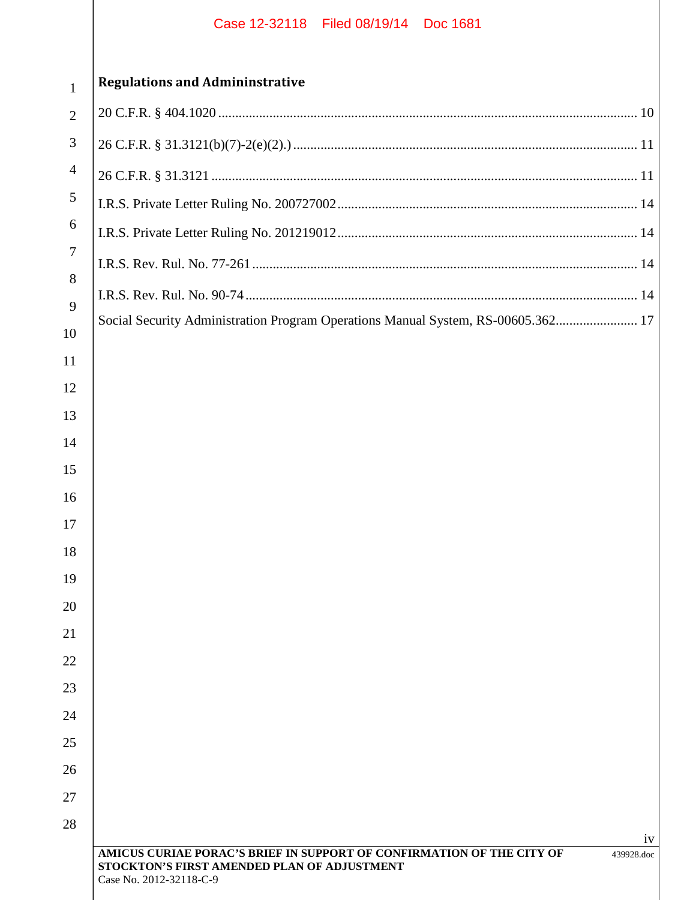| 1                        |
|--------------------------|
| $\overline{c}$           |
| 3                        |
| $\overline{\mathcal{L}}$ |
|                          |

# **Regulations and Admininstrative**

| Social Security Administration Program Operations Manual System, RS-00605.362 17 |
|----------------------------------------------------------------------------------|
|                                                                                  |
|                                                                                  |
|                                                                                  |
|                                                                                  |
|                                                                                  |
|                                                                                  |
|                                                                                  |
|                                                                                  |
|                                                                                  |
|                                                                                  |
|                                                                                  |
|                                                                                  |
|                                                                                  |
|                                                                                  |
|                                                                                  |
|                                                                                  |
|                                                                                  |
| 1V                                                                               |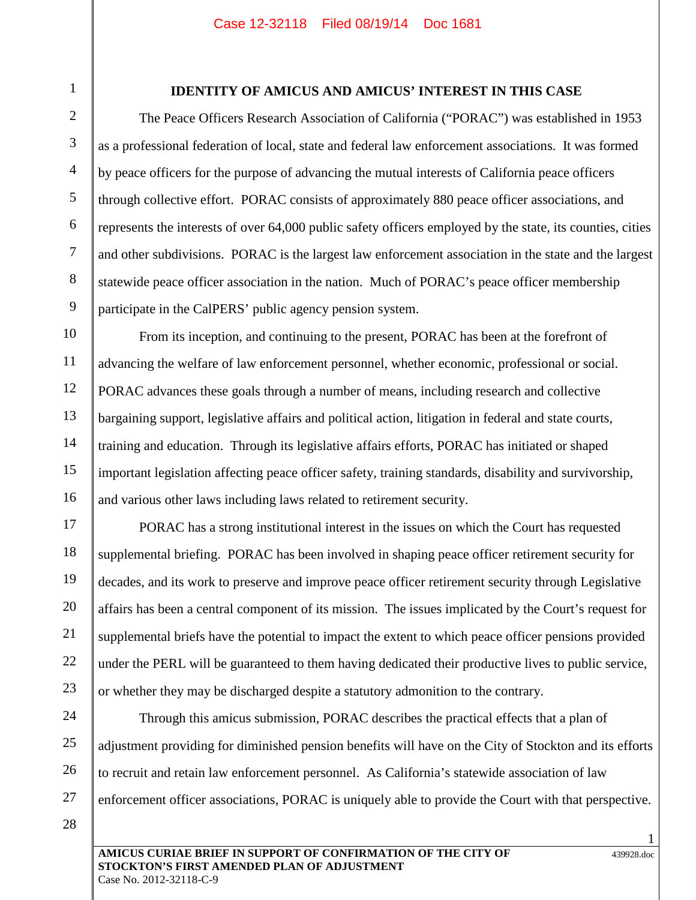1

2

3

4

5

6

7

8

9

14

15

16

## **IDENTITY OF AMICUS AND AMICUS' INTEREST IN THIS CASE**

The Peace Officers Research Association of California ("PORAC") was established in 1953 as a professional federation of local, state and federal law enforcement associations. It was formed by peace officers for the purpose of advancing the mutual interests of California peace officers through collective effort. PORAC consists of approximately 880 peace officer associations, and represents the interests of over 64,000 public safety officers employed by the state, its counties, cities and other subdivisions. PORAC is the largest law enforcement association in the state and the largest statewide peace officer association in the nation. Much of PORAC's peace officer membership participate in the CalPERS' public agency pension system.

From its inception, and continuing to the present, PORAC has been at the forefront of advancing the welfare of law enforcement personnel, whether economic, professional or social. PORAC advances these goals through a number of means, including research and collective bargaining support, legislative affairs and political action, litigation in federal and state courts, training and education. Through its legislative affairs efforts, PORAC has initiated or shaped important legislation affecting peace officer safety, training standards, disability and survivorship, and various other laws including laws related to retirement security.

17 18 19 20 22 23 PORAC has a strong institutional interest in the issues on which the Court has requested supplemental briefing. PORAC has been involved in shaping peace officer retirement security for decades, and its work to preserve and improve peace officer retirement security through Legislative affairs has been a central component of its mission. The issues implicated by the Court's request for supplemental briefs have the potential to impact the extent to which peace officer pensions provided under the PERL will be guaranteed to them having dedicated their productive lives to public service, or whether they may be discharged despite a statutory admonition to the contrary.

24 25 26

21

Through this amicus submission, PORAC describes the practical effects that a plan of adjustment providing for diminished pension benefits will have on the City of Stockton and its efforts to recruit and retain law enforcement personnel. As California's statewide association of law enforcement officer associations, PORAC is uniquely able to provide the Court with that perspective.

28

27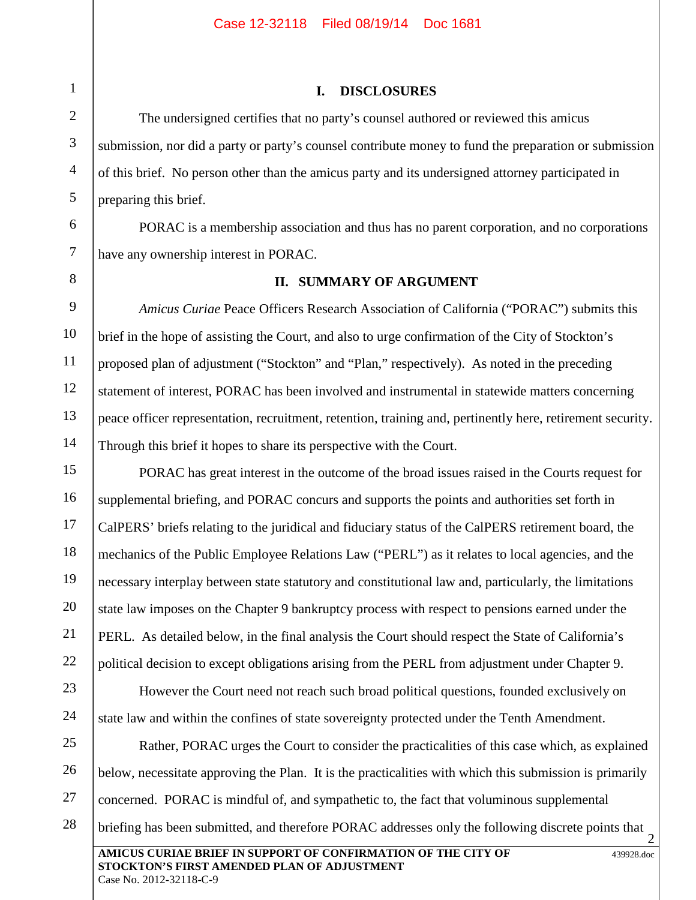## **I. DISCLOSURES**

The undersigned certifies that no party's counsel authored or reviewed this amicus submission, nor did a party or party's counsel contribute money to fund the preparation or submission of this brief. No person other than the amicus party and its undersigned attorney participated in preparing this brief.

PORAC is a membership association and thus has no parent corporation, and no corporations have any ownership interest in PORAC.

8

## **II. SUMMARY OF ARGUMENT**

*Amicus Curiae* Peace Officers Research Association of California ("PORAC") submits this brief in the hope of assisting the Court, and also to urge confirmation of the City of Stockton's proposed plan of adjustment ("Stockton" and "Plan," respectively). As noted in the preceding statement of interest, PORAC has been involved and instrumental in statewide matters concerning peace officer representation, recruitment, retention, training and, pertinently here, retirement security. Through this brief it hopes to share its perspective with the Court.

PORAC has great interest in the outcome of the broad issues raised in the Courts request for supplemental briefing, and PORAC concurs and supports the points and authorities set forth in CalPERS' briefs relating to the juridical and fiduciary status of the CalPERS retirement board, the mechanics of the Public Employee Relations Law ("PERL") as it relates to local agencies, and the necessary interplay between state statutory and constitutional law and, particularly, the limitations state law imposes on the Chapter 9 bankruptcy process with respect to pensions earned under the PERL. As detailed below, in the final analysis the Court should respect the State of California's political decision to except obligations arising from the PERL from adjustment under Chapter 9.

However the Court need not reach such broad political questions, founded exclusively on state law and within the confines of state sovereignty protected under the Tenth Amendment.

**AMICUS CURIAE BRIEF IN SUPPORT OF CONFIRMATION OF THE CITY OF STOCKTON'S FIRST AMENDED PLAN OF ADJUSTMENT** 439928.doc Case No. 2012-32118-C-9 2 27 28 Rather, PORAC urges the Court to consider the practicalities of this case which, as explained below, necessitate approving the Plan. It is the practicalities with which this submission is primarily concerned. PORAC is mindful of, and sympathetic to, the fact that voluminous supplemental briefing has been submitted, and therefore PORAC addresses only the following discrete points that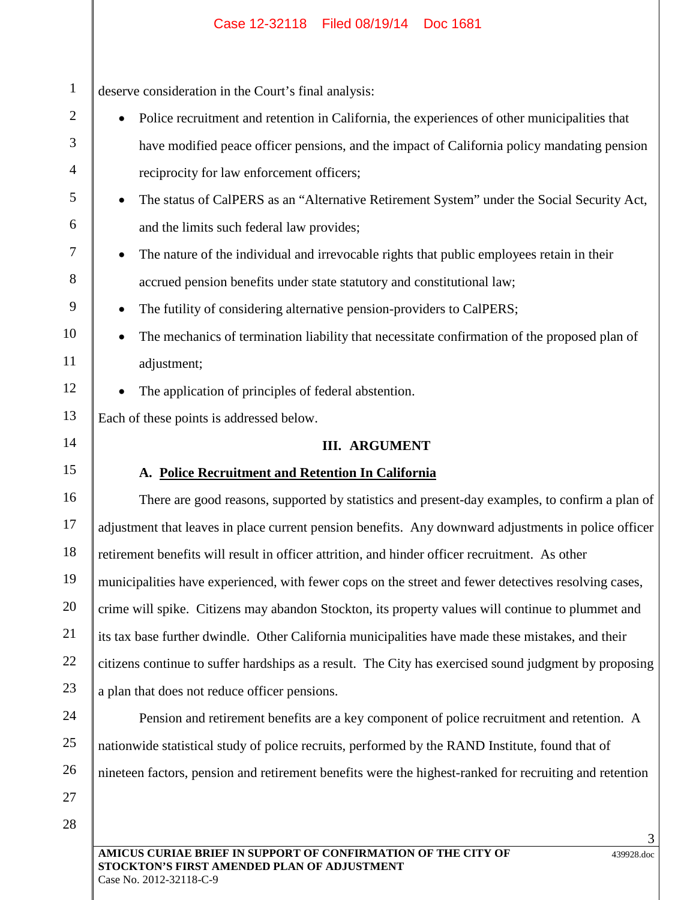| $\mathbf{1}$   | deserve consideration in the Court's final analysis:                                                   |  |  |
|----------------|--------------------------------------------------------------------------------------------------------|--|--|
| $\overline{2}$ | Police recruitment and retention in California, the experiences of other municipalities that           |  |  |
| 3              | have modified peace officer pensions, and the impact of California policy mandating pension            |  |  |
| $\overline{4}$ | reciprocity for law enforcement officers;                                                              |  |  |
| 5              | The status of CalPERS as an "Alternative Retirement System" under the Social Security Act,             |  |  |
| 6              | and the limits such federal law provides;                                                              |  |  |
| $\tau$         | The nature of the individual and irrevocable rights that public employees retain in their              |  |  |
| 8              | accrued pension benefits under state statutory and constitutional law;                                 |  |  |
| 9              | The futility of considering alternative pension-providers to CalPERS;                                  |  |  |
| 10             | The mechanics of termination liability that necessitate confirmation of the proposed plan of           |  |  |
| 11             | adjustment;                                                                                            |  |  |
| 12             | The application of principles of federal abstention.                                                   |  |  |
| 13             | Each of these points is addressed below.                                                               |  |  |
| 14             | <b>III. ARGUMENT</b>                                                                                   |  |  |
| 15             | A. Police Recruitment and Retention In California                                                      |  |  |
| 16             | There are good reasons, supported by statistics and present-day examples, to confirm a plan of         |  |  |
| 17             | adjustment that leaves in place current pension benefits. Any downward adjustments in police officer   |  |  |
| 18             | retirement benefits will result in officer attrition, and hinder officer recruitment. As other         |  |  |
| 19             | municipalities have experienced, with fewer cops on the street and fewer detectives resolving cases,   |  |  |
| 20             | crime will spike. Citizens may abandon Stockton, its property values will continue to plummet and      |  |  |
| 21             | its tax base further dwindle. Other California municipalities have made these mistakes, and their      |  |  |
| 22             | citizens continue to suffer hardships as a result. The City has exercised sound judgment by proposing  |  |  |
| 23             | a plan that does not reduce officer pensions.                                                          |  |  |
| 24             | Pension and retirement benefits are a key component of police recruitment and retention. A             |  |  |
| 25             | nationwide statistical study of police recruits, performed by the RAND Institute, found that of        |  |  |
| 26             | nineteen factors, pension and retirement benefits were the highest-ranked for recruiting and retention |  |  |
| 27             |                                                                                                        |  |  |
|                |                                                                                                        |  |  |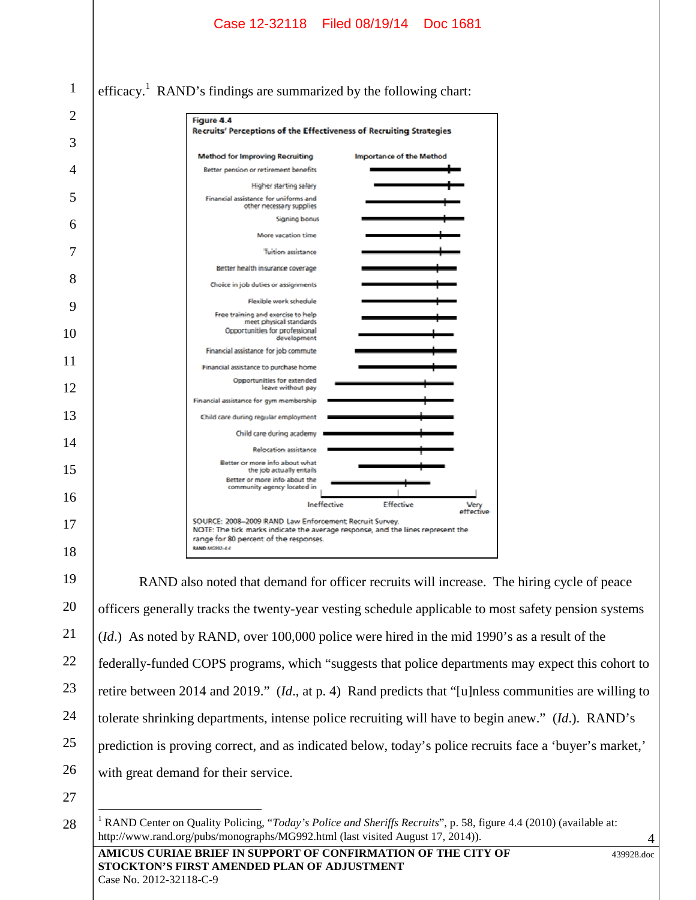|    | Case 12-32118 Filed 08/19/14<br>Doc 1681                                                                                                                                        |  |  |  |
|----|---------------------------------------------------------------------------------------------------------------------------------------------------------------------------------|--|--|--|
|    |                                                                                                                                                                                 |  |  |  |
| 1  | efficacy. <sup>1</sup> RAND's findings are summarized by the following chart:                                                                                                   |  |  |  |
| 2  | Figure 4.4                                                                                                                                                                      |  |  |  |
| 3  | Recruits' Perceptions of the Effectiveness of Recruiting Strategies                                                                                                             |  |  |  |
| 4  | <b>Method for Improving Recruiting</b><br><b>Importance of the Method</b><br>Better pension or retirement benefits                                                              |  |  |  |
| 5  | <b>Higher starting salary</b><br>Financial assistance for uniforms and                                                                                                          |  |  |  |
|    | other necessary supplies<br><b>Signing bonus</b>                                                                                                                                |  |  |  |
| 6  | More vacation time                                                                                                                                                              |  |  |  |
| 7  | <b>Tuition assistance</b>                                                                                                                                                       |  |  |  |
| 8  | Better health insurance coverage<br>Choice in job duties or assignments                                                                                                         |  |  |  |
|    | Flexible work schedule                                                                                                                                                          |  |  |  |
| 9  | Free training and exercise to help<br>meet physical standards                                                                                                                   |  |  |  |
| 10 | Opportunities for professional<br>development                                                                                                                                   |  |  |  |
| 11 | Financial assistance for job commute<br>Financial assistance to purchase home                                                                                                   |  |  |  |
|    | Opportunities for extended                                                                                                                                                      |  |  |  |
| 12 | leave without pay<br>Financial assistance for gym membership                                                                                                                    |  |  |  |
| 13 | Child care during regular employment                                                                                                                                            |  |  |  |
| 14 | Child care during academy                                                                                                                                                       |  |  |  |
|    | <b>Relocation assistance</b><br>Better or more info about what                                                                                                                  |  |  |  |
| 15 | the job actually entails<br>Better or more info-about the<br>community agency located in                                                                                        |  |  |  |
| 16 | Ineffective<br><b>Effective</b><br>Very<br>effective                                                                                                                            |  |  |  |
| 17 | SOURCE: 2008-2009 RAND Law Enforcement Recruit Survey.<br>: The tick marks indicate the average response, and the lines represent the<br>range for 80 percent of the responses. |  |  |  |
| 18 | <b>KAND MORRALE 4</b>                                                                                                                                                           |  |  |  |
| 19 | RAND also noted that demand for officer recruits will increase. The hiring cycle of peace                                                                                       |  |  |  |
| 20 | officers generally tracks the twenty-year vesting schedule applicable to most safety pension systems                                                                            |  |  |  |
| 21 | ( <i>Id.</i> ) As noted by RAND, over 100,000 police were hired in the mid 1990's as a result of the                                                                            |  |  |  |
| 22 | federally-funded COPS programs, which "suggests that police departments may expect this cohort to                                                                               |  |  |  |
| 23 | retire between 2014 and 2019." ( <i>Id.</i> , at p. 4) Rand predicts that "[u]nless communities are willing to                                                                  |  |  |  |
| 24 | tolerate shrinking departments, intense police recruiting will have to begin anew." (Id.). RAND's                                                                               |  |  |  |
| 25 | prediction is proving correct, and as indicated below, today's police recruits face a 'buyer's market,'                                                                         |  |  |  |
| 26 | with great demand for their service.                                                                                                                                            |  |  |  |
| 27 |                                                                                                                                                                                 |  |  |  |
| 28 | <sup>1</sup> RAND Center on Quality Policing, "Today's Police and Sheriffs Recruits", p. 58, figure 4.4 (2010) (available at:                                                   |  |  |  |

**AMICUS CURIAE BRIEF IN SUPPORT OF CONFIRMATION OF THE CITY OF STOCKTON'S FIRST AMENDED PLAN OF ADJUSTMENT** Case No. 2012-32118-C-9

http://www.rand.org/pubs/monographs/MG992.html (last visited August 17, 2014)).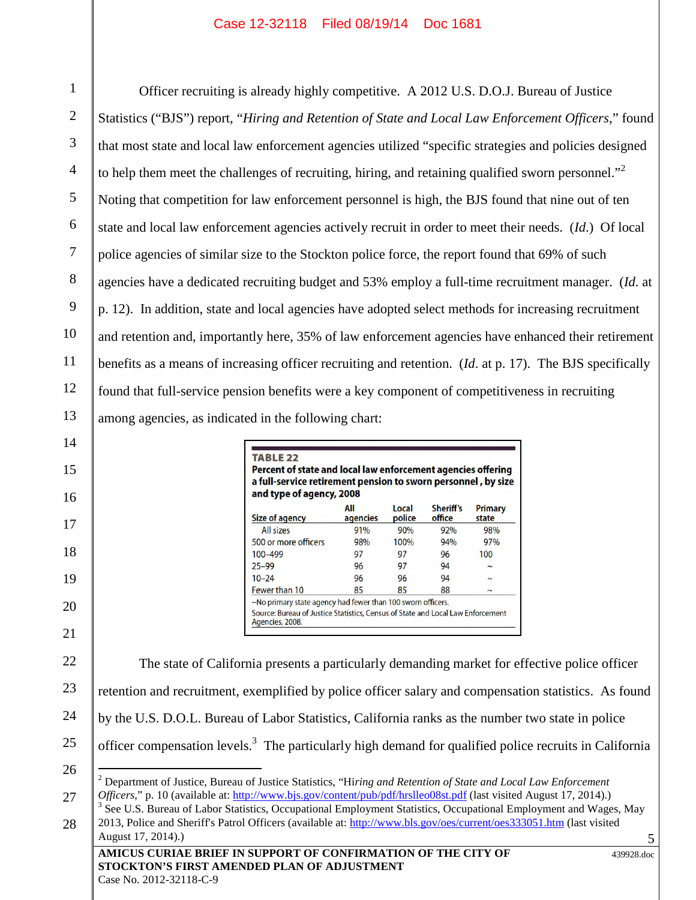1 2 3 4 5 6 7 8 9 10 11 12 13 Officer recruiting is already highly competitive. A 2012 U.S. D.O.J. Bureau of Justice Statistics ("BJS") report, "*Hiring and Retention of State and Local Law Enforcement Officers*," found that most state and local law enforcement agencies utilized "specific strategies and policies designed to help them meet the challenges of recruiting, hiring, and retaining qualified sworn personnel.<sup>32</sup> Noting that competition for law enforcement personnel is high, the BJS found that nine out of ten state and local law enforcement agencies actively recruit in order to meet their needs. (*Id*.) Of local police agencies of similar size to the Stockton police force, the report found that 69% of such agencies have a dedicated recruiting budget and 53% employ a full-time recruitment manager. (*Id*. at p. 12). In addition, state and local agencies have adopted select methods for increasing recruitment and retention and, importantly here, 35% of law enforcement agencies have enhanced their retirement benefits as a means of increasing officer recruiting and retention. (*Id*. at p. 17). The BJS specifically found that full-service pension benefits were a key component of competitiveness in recruiting among agencies, as indicated in the following chart:

| Size of agency       | All<br>agencies | Local<br>police | Sheriff's<br>office | <b>Primary</b><br>state |
|----------------------|-----------------|-----------------|---------------------|-------------------------|
| All sizes            | 91%             | 90%             | 92%                 | 98%                     |
| 500 or more officers | 98%             | 100%            | 94%                 | 97%                     |
| 100-499              | 97              | 97              | 96                  | 100                     |
| $25 - 99$            | 96              | 97              | 94                  |                         |
| $10 - 24$            | 96              | 96              | 94                  |                         |
| Fewer than 10        | 85              | 85              | 88                  | $\tilde{}$              |

14

15

16

17

18

19

20

21

22 23 24 25 26 27 28 The state of California presents a particularly demanding market for effective police officer retention and recruitment, exemplified by police officer salary and compensation statistics. As found by the U.S. D.O.L. Bureau of Labor Statistics, California ranks as the number two state in police officer compensation levels.<sup>3</sup> The particularly high demand for qualified police recruits in California <sup>2</sup> Department of Justice, Bureau of Justice Statistics, "Hi*ring and Retention of State and Local Law Enforcement Officers*," p. 10 (available at: http://www.bjs.gov/content/pub/pdf/hrslleo08st.pdf (last visited August 17, 2014).) <sup>3</sup> See U.S. Bureau of Labor Statistics, Occupational Employment Statistics, Occupational Employment and Wages, May 2013, Police and Sheriff's Patrol Officers (available at: http://www.bls.gov/oes/current/oes333051.htm (last visited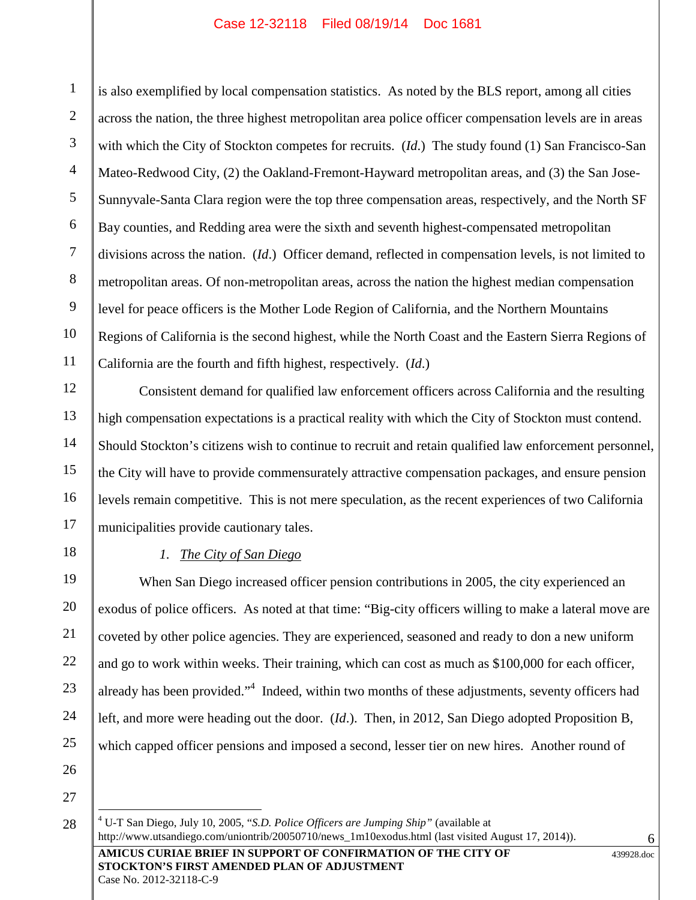1 2 3 4 5 6 7 8 9 10 11 is also exemplified by local compensation statistics. As noted by the BLS report, among all cities across the nation, the three highest metropolitan area police officer compensation levels are in areas with which the City of Stockton competes for recruits. (*Id*.) The study found (1) San Francisco-San Mateo-Redwood City, (2) the Oakland-Fremont-Hayward metropolitan areas, and (3) the San Jose-Sunnyvale-Santa Clara region were the top three compensation areas, respectively, and the North SF Bay counties, and Redding area were the sixth and seventh highest-compensated metropolitan divisions across the nation. (*Id*.) Officer demand, reflected in compensation levels, is not limited to metropolitan areas. Of non-metropolitan areas, across the nation the highest median compensation level for peace officers is the Mother Lode Region of California, and the Northern Mountains Regions of California is the second highest, while the North Coast and the Eastern Sierra Regions of California are the fourth and fifth highest, respectively. (*Id*.)

Consistent demand for qualified law enforcement officers across California and the resulting high compensation expectations is a practical reality with which the City of Stockton must contend. Should Stockton's citizens wish to continue to recruit and retain qualified law enforcement personnel, the City will have to provide commensurately attractive compensation packages, and ensure pension levels remain competitive. This is not mere speculation, as the recent experiences of two California municipalities provide cautionary tales.

18 19

20

21

22

23

24

25

12

13

14

15

16

17

## *1. The City of San Diego*

When San Diego increased officer pension contributions in 2005, the city experienced an exodus of police officers. As noted at that time: "Big-city officers willing to make a lateral move are coveted by other police agencies. They are experienced, seasoned and ready to don a new uniform and go to work within weeks. Their training, which can cost as much as \$100,000 for each officer, already has been provided."<sup>4</sup> Indeed, within two months of these adjustments, seventy officers had left, and more were heading out the door. (*Id*.). Then, in 2012, San Diego adopted Proposition B, which capped officer pensions and imposed a second, lesser tier on new hires. Another round of

26

27 28

**AMICUS CURIAE BRIEF IN SUPPORT OF CONFIRMATION OF THE CITY OF STOCKTON'S FIRST AMENDED PLAN OF ADJUSTMENT** <sup>4</sup> U-T San Diego, July 10, 2005, "*S.D. Police Officers are Jumping Ship"* (available at http://www.utsandiego.com/uniontrib/20050710/news\_1m10exodus.html (last visited August 17, 2014)).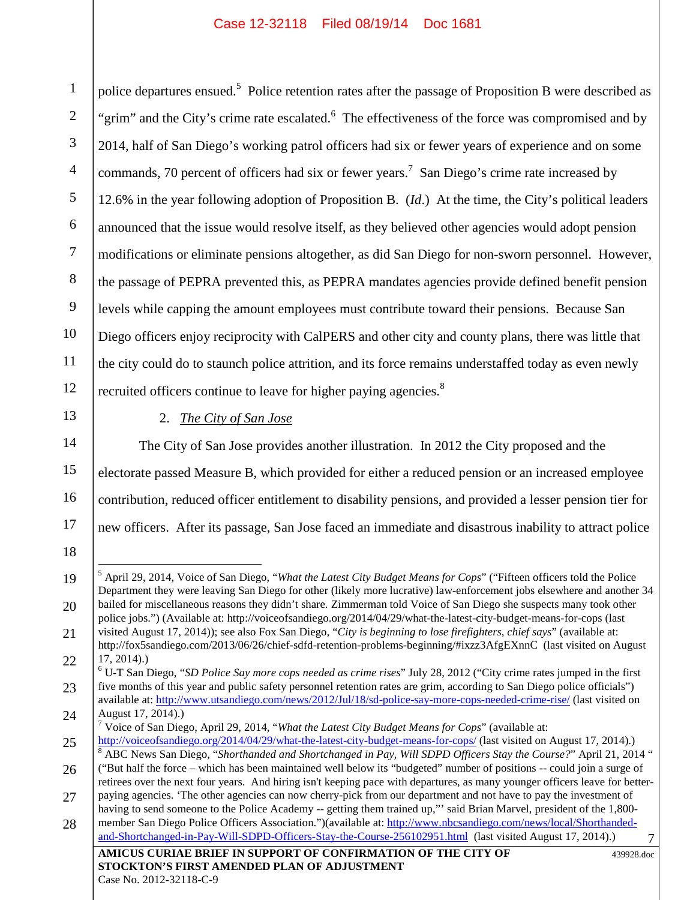1 2 3 4 5 6 7 8 9 10 11 12 police departures ensued.<sup>5</sup> Police retention rates after the passage of Proposition B were described as  $\vert$ "grim" and the City's crime rate escalated.<sup>6</sup> The effectiveness of the force was compromised and by 2014, half of San Diego's working patrol officers had six or fewer years of experience and on some commands, 70 percent of officers had six or fewer years.<sup>7</sup> San Diego's crime rate increased by 12.6% in the year following adoption of Proposition B. (*Id*.) At the time, the City's political leaders announced that the issue would resolve itself, as they believed other agencies would adopt pension modifications or eliminate pensions altogether, as did San Diego for non-sworn personnel. However, the passage of PEPRA prevented this, as PEPRA mandates agencies provide defined benefit pension levels while capping the amount employees must contribute toward their pensions. Because San Diego officers enjoy reciprocity with CalPERS and other city and county plans, there was little that the city could do to staunch police attrition, and its force remains understaffed today as even newly recruited officers continue to leave for higher paying agencies.<sup>8</sup>

13

2. *The City of San Jose*

14 15 16 17 The City of San Jose provides another illustration. In 2012 the City proposed and the electorate passed Measure B, which provided for either a reduced pension or an increased employee contribution, reduced officer entitlement to disability pensions, and provided a lesser pension tier for new officers. After its passage, San Jose faced an immediate and disastrous inability to attract police

20

<sup>7</sup> Voice of San Diego, April 29, 2014, "*What the Latest City Budget Means for Cops*" (available at:

<sup>18</sup> 19

<sup>5</sup> April 29, 2014, Voice of San Diego, "*What the Latest City Budget Means for Cops*" ("Fifteen officers told the Police Department they were leaving San Diego for other (likely more lucrative) law-enforcement jobs elsewhere and another 34 bailed for miscellaneous reasons they didn't share. Zimmerman told Voice of San Diego she suspects many took other police jobs.") (Available at: http://voiceofsandiego.org/2014/04/29/what-the-latest-city-budget-means-for-cops (last visited August 17, 2014)); see also Fox San Diego, "*City is beginning to lose firefighters, chief says*" (available at:

<sup>21</sup> 22 http://fox5sandiego.com/2013/06/26/chief-sdfd-retention-problems-beginning/#ixzz3AfgEXnnC (last visited on August 17, 2014).)

<sup>23</sup> 24 <sup>6</sup> U-T San Diego, "*SD Police Say more cops needed as crime rises*" July 28, 2012 ("City crime rates jumped in the first five months of this year and public safety personnel retention rates are grim, according to San Diego police officials") available at: http://www.utsandiego.com/news/2012/Jul/18/sd-police-say-more-cops-needed-crime-rise/ (last visited on August 17, 2014).)

<sup>25</sup> 26 27 http://voiceofsandiego.org/2014/04/29/what-the-latest-city-budget-means-for-cops/ (last visited on August 17, 2014).) <sup>8</sup> ABC News San Diego, "*Shorthanded and Shortchanged in Pay, Will SDPD Officers Stay the Course?*" April 21, 2014 " ("But half the force – which has been maintained well below its "budgeted" number of positions -- could join a surge of retirees over the next four years. And hiring isn't keeping pace with departures, as many younger officers leave for betterpaying agencies. 'The other agencies can now cherry-pick from our department and not have to pay the investment of

<sup>7</sup> 28 having to send someone to the Police Academy -- getting them trained up,"' said Brian Marvel, president of the 1,800member San Diego Police Officers Association.")(available at: http://www.nbcsandiego.com/news/local/Shorthandedand-Shortchanged-in-Pay-Will-SDPD-Officers-Stay-the-Course-256102951.html (last visited August 17, 2014).)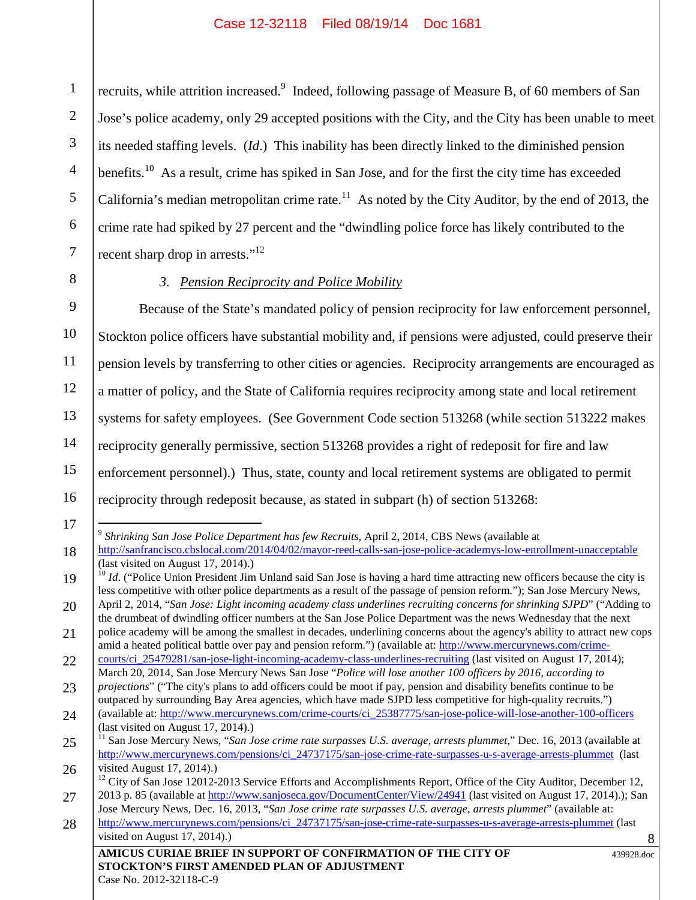1 2 3 4 5 6 7 recruits, while attrition increased.<sup>9</sup> Indeed, following passage of Measure B, of 60 members of San Jose's police academy, only 29 accepted positions with the City, and the City has been unable to meet its needed staffing levels. (*Id*.) This inability has been directly linked to the diminished pension benefits.<sup>10</sup> As a result, crime has spiked in San Jose, and for the first the city time has exceeded California's median metropolitan crime rate.<sup>11</sup> As noted by the City Auditor, by the end of 2013, the crime rate had spiked by 27 percent and the "dwindling police force has likely contributed to the recent sharp drop in arrests."<sup>12</sup>

8 9

## *3. Pension Reciprocity and Police Mobility*

10 11 12 13 14 15 16 Because of the State's mandated policy of pension reciprocity for law enforcement personnel, Stockton police officers have substantial mobility and, if pensions were adjusted, could preserve their pension levels by transferring to other cities or agencies. Reciprocity arrangements are encouraged as a matter of policy, and the State of California requires reciprocity among state and local retirement systems for safety employees. (See Government Code section 513268 (while section 513222 makes reciprocity generally permissive, section 513268 provides a right of redeposit for fire and law enforcement personnel).) Thus, state, county and local retirement systems are obligated to permit reciprocity through redeposit because, as stated in subpart (h) of section 513268:

17 18 9 *Shrinking San Jose Police Department has few Recruits*, April 2, 2014, CBS News (available at http://sanfrancisco.cbslocal.com/2014/04/02/mayor-reed-calls-san-jose-police-academys-low-enrollment-unacceptable (last visited on August 17, 2014).)

<sup>19</sup> 20 <sup>10</sup> *Id.* ("Police Union President Jim Unland said San Jose is having a hard time attracting new officers because the city is less competitive with other police departments as a result of the passage of pension reform."); San Jose Mercury News, April 2, 2014, "*San Jose: Light incoming academy class underlines recruiting concerns for shrinking SJPD*" ("Adding to

<sup>21</sup> the drumbeat of dwindling officer numbers at the San Jose Police Department was the news Wednesday that the next police academy will be among the smallest in decades, underlining concerns about the agency's ability to attract new cops

<sup>22</sup> amid a heated political battle over pay and pension reform.") (available at: http://www.mercurynews.com/crimecourts/ci\_25479281/san-jose-light-incoming-academy-class-underlines-recruiting (last visited on August 17, 2014);

<sup>23</sup> March 20, 2014, San Jose Mercury News San Jose "*Police will lose another 100 officers by 2016, according to projections*" ("The city's plans to add officers could be moot if pay, pension and disability benefits continue to be outpaced by surrounding Bay Area agencies, which have made SJPD less competitive for high-quality recruits.")

<sup>24</sup> (available at: http://www.mercurynews.com/crime-courts/ci\_25387775/san-jose-police-will-lose-another-100-officers (last visited on August 17, 2014).)

<sup>25</sup> 26 <sup>11</sup> San Jose Mercury News, "*San Jose crime rate surpasses U.S. average, arrests plummet*," Dec. 16, 2013 (available at http://www.mercurynews.com/pensions/ci\_24737175/san-jose-crime-rate-surpasses-u-s-average-arrests-plummet (last visited August 17, 2014).)

<sup>27</sup> <sup>12</sup> City of San Jose 12012-2013 Service Efforts and Accomplishments Report, Office of the City Auditor, December 12, 2013 p. 85 (available at http://www.sanjoseca.gov/DocumentCenter/View/24941 (last visited on August 17, 2014).); San

<sup>28</sup> Jose Mercury News, Dec. 16, 2013, "*San Jose crime rate surpasses U.S. average, arrests plummet*" (available at: http://www.mercurynews.com/pensions/ci\_24737175/san-jose-crime-rate-surpasses-u-s-average-arrests-plummet (last

visited on August 17, 2014).)

**AMICUS CURIAE BRIEF IN SUPPORT OF CONFIRMATION OF THE CITY OF STOCKTON'S FIRST AMENDED PLAN OF ADJUSTMENT**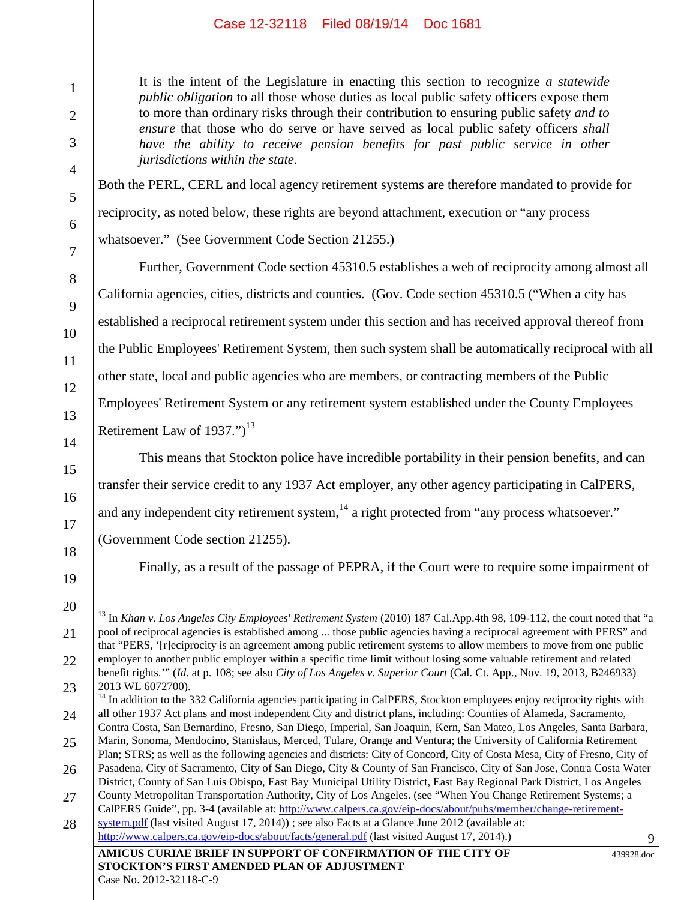It is the intent of the Legislature in enacting this section to recognize *a statewide public obligation* to all those whose duties as local public safety officers expose them to more than ordinary risks through their contribution to ensuring public safety *and to ensure* that those who do serve or have served as local public safety officers *shall have the ability to receive pension benefits for past public service in other jurisdictions within the state*.

Both the PERL, CERL and local agency retirement systems are therefore mandated to provide for reciprocity, as noted below, these rights are beyond attachment, execution or "any process whatsoever." (See Government Code Section 21255.)

Further, Government Code section 45310.5 establishes a web of reciprocity among almost all California agencies, cities, districts and counties. (Gov. Code section 45310.5 ("When a city has established a reciprocal retirement system under this section and has received approval thereof from the Public Employees' Retirement System, then such system shall be automatically reciprocal with all other state, local and public agencies who are members, or contracting members of the Public Employees' Retirement System or any retirement system established under the County Employees Retirement Law of  $1937."$ <sup>13</sup>

This means that Stockton police have incredible portability in their pension benefits, and can transfer their service credit to any 1937 Act employer, any other agency participating in CalPERS, and any independent city retirement system,<sup>14</sup> a right protected from "any process whatsoever."

(Government Code section 21255).

Finally, as a result of the passage of PEPRA, if the Court were to require some impairment of

21

22

1

2

3

4

5

6

7

8

9

10

11

12

13

14

15

16

17

18

<sup>19</sup> 20

<sup>13</sup> In *Khan v. Los Angeles City Employees' Retirement System* (2010) 187 Cal.App.4th 98, 109-112, the court noted that "a pool of reciprocal agencies is established among ... those public agencies having a reciprocal agreement with PERS" and that "PERS, '[r]eciprocity is an agreement among public retirement systems to allow members to move from one public employer to another public employer within a specific time limit without losing some valuable retirement and related benefit rights.'" (*Id*. at p. 108; see also *City of Los Angeles v. Superior Court* (Cal. Ct. App., Nov. 19, 2013, B246933) 2013 WL 6072700).

<sup>23</sup> 24 <sup>14</sup> In addition to the 332 California agencies participating in CalPERS, Stockton employees enjoy reciprocity rights with all other 1937 Act plans and most independent City and district plans, including: Counties of Alameda, Sacramento,

<sup>25</sup> Contra Costa, San Bernardino, Fresno, San Diego, Imperial, San Joaquin, Kern, San Mateo, Los Angeles, Santa Barbara, Marin, Sonoma, Mendocino, Stanislaus, Merced, Tulare, Orange and Ventura; the University of California Retirement Plan; STRS; as well as the following agencies and districts: City of Concord, City of Costa Mesa, City of Fresno, City of

<sup>26</sup> Pasadena, City of Sacramento, City of San Diego, City & County of San Francisco, City of San Jose, Contra Costa Water District, County of San Luis Obispo, East Bay Municipal Utility District, East Bay Regional Park District, Los Angeles

<sup>27</sup> County Metropolitan Transportation Authority, City of Los Angeles. (see "When You Change Retirement Systems; a CalPERS Guide", pp. 3-4 (available at: http://www.calpers.ca.gov/eip-docs/about/pubs/member/change-retirement-

**AMICUS CURIAE BRIEF IN SUPPORT OF CONFIRMATION OF THE CITY OF** 28 system.pdf (last visited August 17, 2014)) ; see also Facts at a Glance June 2012 (available at: http://www.calpers.ca.gov/eip-docs/about/facts/general.pdf (last visited August 17, 2014).)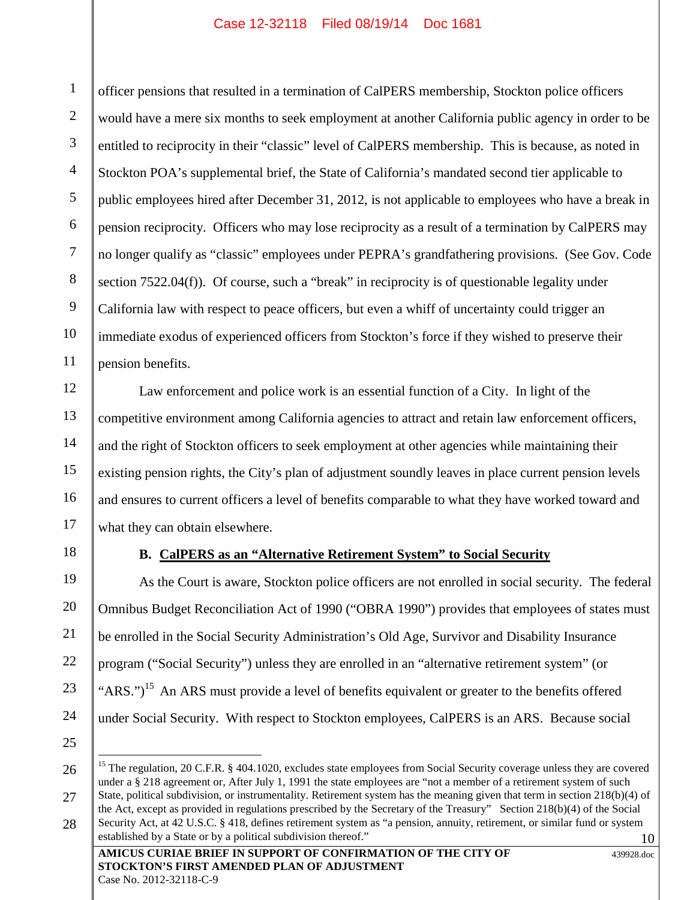1 2 3 4 5 6 7 8 9 10 11 officer pensions that resulted in a termination of CalPERS membership, Stockton police officers would have a mere six months to seek employment at another California public agency in order to be entitled to reciprocity in their "classic" level of CalPERS membership. This is because, as noted in Stockton POA's supplemental brief, the State of California's mandated second tier applicable to public employees hired after December 31, 2012, is not applicable to employees who have a break in pension reciprocity. Officers who may lose reciprocity as a result of a termination by CalPERS may no longer qualify as "classic" employees under PEPRA's grandfathering provisions. (See Gov. Code section 7522.04(f)). Of course, such a "break" in reciprocity is of questionable legality under California law with respect to peace officers, but even a whiff of uncertainty could trigger an immediate exodus of experienced officers from Stockton's force if they wished to preserve their pension benefits.

Law enforcement and police work is an essential function of a City. In light of the competitive environment among California agencies to attract and retain law enforcement officers, and the right of Stockton officers to seek employment at other agencies while maintaining their existing pension rights, the City's plan of adjustment soundly leaves in place current pension levels and ensures to current officers a level of benefits comparable to what they have worked toward and what they can obtain elsewhere.

18

12

13

14

15

16

17

19

20

21

22

23

24

### **B. CalPERS as an "Alternative Retirement System" to Social Security**

As the Court is aware, Stockton police officers are not enrolled in social security. The federal Omnibus Budget Reconciliation Act of 1990 ("OBRA 1990") provides that employees of states must be enrolled in the Social Security Administration's Old Age, Survivor and Disability Insurance program ("Social Security") unless they are enrolled in an "alternative retirement system" (or "ARS.")<sup>15</sup> An ARS must provide a level of benefits equivalent or greater to the benefits offered under Social Security. With respect to Stockton employees, CalPERS is an ARS. Because social

25

26

27

<sup>10</sup> <sup>15</sup> The regulation, 20 C.F.R. § 404.1020, excludes state employees from Social Security coverage unless they are covered under a § 218 agreement or, After July 1, 1991 the state employees are "not a member of a retirement system of such State, political subdivision, or instrumentality. Retirement system has the meaning given that term in section 218(b)(4) of the Act, except as provided in regulations prescribed by the Secretary of the Treasury" Section 218(b)(4) of the Social Security Act, at 42 U.S.C. § 418, defines retirement system as "a pension, annuity, retirement, or similar fund or system established by a State or by a political subdivision thereof."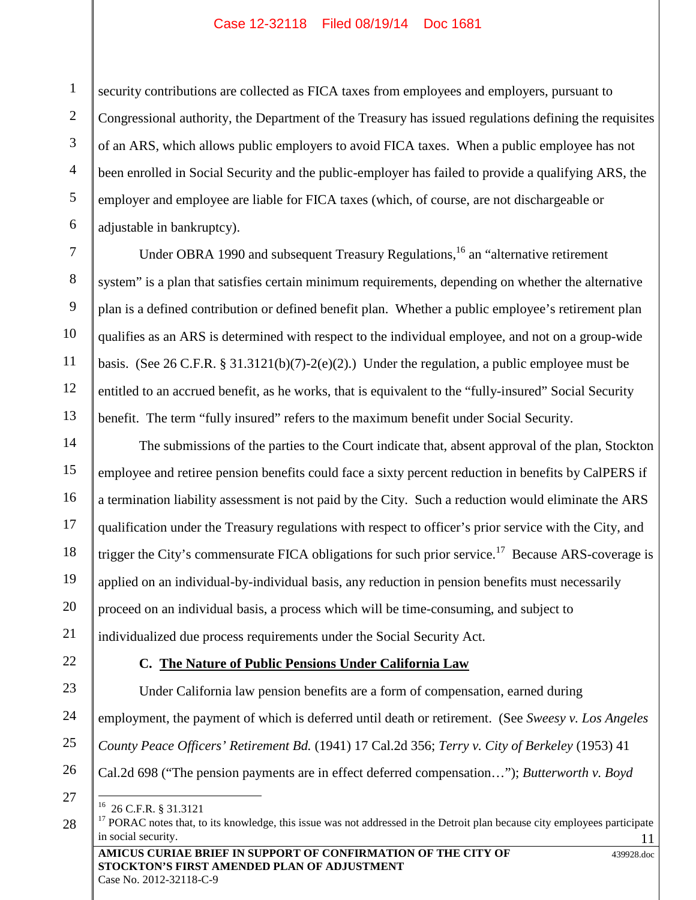security contributions are collected as FICA taxes from employees and employers, pursuant to Congressional authority, the Department of the Treasury has issued regulations defining the requisites of an ARS, which allows public employers to avoid FICA taxes. When a public employee has not been enrolled in Social Security and the public-employer has failed to provide a qualifying ARS, the employer and employee are liable for FICA taxes (which, of course, are not dischargeable or adjustable in bankruptcy).

Under OBRA 1990 and subsequent Treasury Regulations,  $^{16}$  an "alternative retirement" system" is a plan that satisfies certain minimum requirements, depending on whether the alternative plan is a defined contribution or defined benefit plan. Whether a public employee's retirement plan qualifies as an ARS is determined with respect to the individual employee, and not on a group-wide basis. (See 26 C.F.R. § 31.3121(b)(7)-2(e)(2).) Under the regulation, a public employee must be entitled to an accrued benefit, as he works, that is equivalent to the "fully-insured" Social Security benefit. The term "fully insured" refers to the maximum benefit under Social Security.

14 15 16 17 18 19 20 21 The submissions of the parties to the Court indicate that, absent approval of the plan, Stockton employee and retiree pension benefits could face a sixty percent reduction in benefits by CalPERS if a termination liability assessment is not paid by the City. Such a reduction would eliminate the ARS qualification under the Treasury regulations with respect to officer's prior service with the City, and trigger the City's commensurate FICA obligations for such prior service.<sup>17</sup> Because ARS-coverage is applied on an individual-by-individual basis, any reduction in pension benefits must necessarily proceed on an individual basis, a process which will be time-consuming, and subject to individualized due process requirements under the Social Security Act.

22

1

2

3

4

5

6

7

8

9

10

11

12

13

## **C. The Nature of Public Pensions Under California Law**

23 24 25 Under California law pension benefits are a form of compensation, earned during employment, the payment of which is deferred until death or retirement. (See *Sweesy v. Los Angeles County Peace Officers' Retirement Bd.* (1941) 17 Cal.2d 356; *Terry v. City of Berkeley* (1953) 41

Cal.2d 698 ("The pension payments are in effect deferred compensation…"); *Butterworth v. Boyd*

26 27

<sup>16</sup> 26 C.F.R. § 31.3121

<sup>11</sup> <sup>17</sup> PORAC notes that, to its knowledge, this issue was not addressed in the Detroit plan because city employees participate in social security.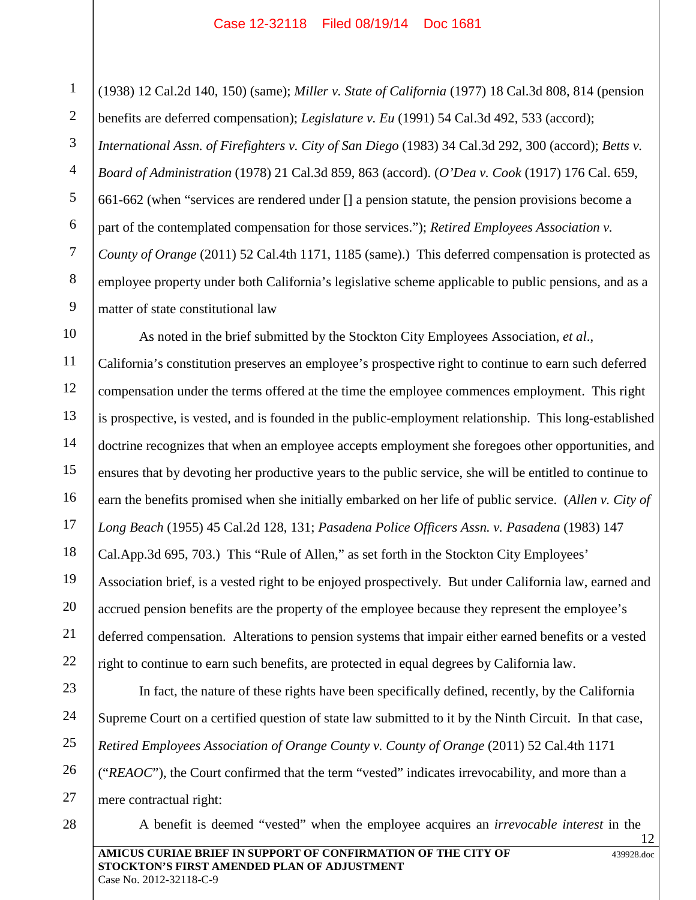1 2 3 4 5 6 7 8 9 (1938) 12 Cal.2d 140, 150) (same); *Miller v. State of California* (1977) 18 Cal.3d 808, 814 (pension benefits are deferred compensation); *Legislature v. Eu* (1991) 54 Cal.3d 492, 533 (accord); *International Assn. of Firefighters v. City of San Diego* (1983) 34 Cal.3d 292, 300 (accord); *Betts v. Board of Administration* (1978) 21 Cal.3d 859, 863 (accord). (*O'Dea v. Cook* (1917) 176 Cal. 659, 661-662 (when "services are rendered under [] a pension statute, the pension provisions become a part of the contemplated compensation for those services."); *Retired Employees Association v. County of Orange* (2011) 52 Cal.4th 1171, 1185 (same).) This deferred compensation is protected as employee property under both California's legislative scheme applicable to public pensions, and as a matter of state constitutional law

10 11 12 13 14 15 16 17 18 19 20 21 22 As noted in the brief submitted by the Stockton City Employees Association, *et al*., California's constitution preserves an employee's prospective right to continue to earn such deferred compensation under the terms offered at the time the employee commences employment. This right is prospective, is vested, and is founded in the public-employment relationship. This long-established doctrine recognizes that when an employee accepts employment she foregoes other opportunities, and ensures that by devoting her productive years to the public service, she will be entitled to continue to earn the benefits promised when she initially embarked on her life of public service. (*Allen v. City of Long Beach* (1955) 45 Cal.2d 128, 131; *Pasadena Police Officers Assn. v. Pasadena* (1983) 147 Cal.App.3d 695, 703.) This "Rule of Allen," as set forth in the Stockton City Employees' Association brief, is a vested right to be enjoyed prospectively. But under California law, earned and accrued pension benefits are the property of the employee because they represent the employee's deferred compensation. Alterations to pension systems that impair either earned benefits or a vested right to continue to earn such benefits, are protected in equal degrees by California law.

23 24 25 26 27 In fact, the nature of these rights have been specifically defined, recently, by the California Supreme Court on a certified question of state law submitted to it by the Ninth Circuit. In that case, *Retired Employees Association of Orange County v. County of Orange* (2011) 52 Cal.4th 1171 ("*REAOC*"), the Court confirmed that the term "vested" indicates irrevocability, and more than a mere contractual right:

A benefit is deemed "vested" when the employee acquires an *irrevocable interest* in the

28

**AMICUS CURIAE BRIEF IN SUPPORT OF CONFIRMATION OF THE CITY OF STOCKTON'S FIRST AMENDED PLAN OF ADJUSTMENT**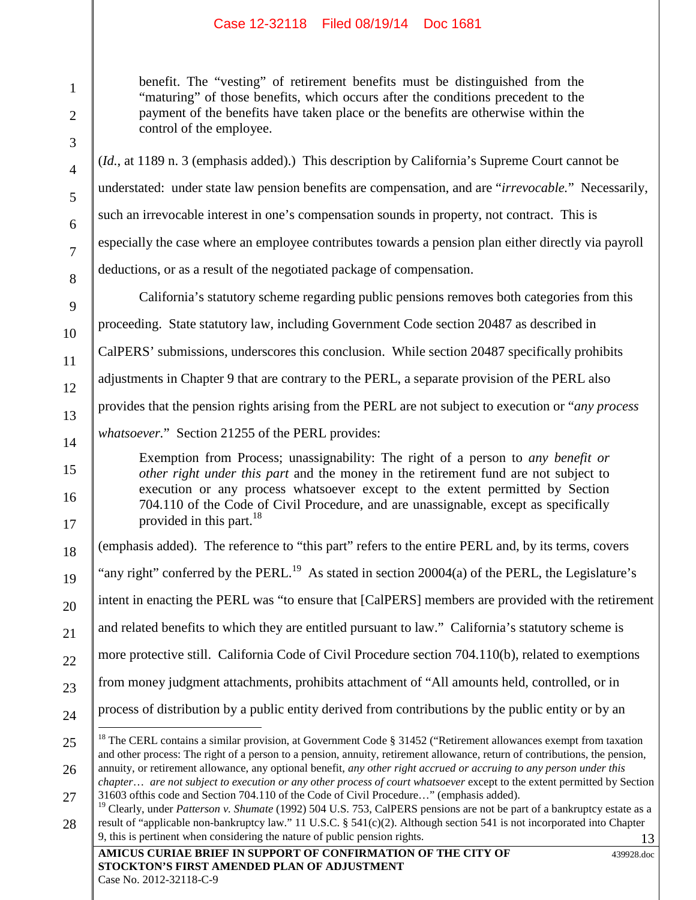1

2

3

4

5

6

7

8

9

10

11

12

13

14

15

16

17

18

19

20

benefit. The "vesting" of retirement benefits must be distinguished from the "maturing" of those benefits, which occurs after the conditions precedent to the payment of the benefits have taken place or the benefits are otherwise within the control of the employee.

(*Id.*, at 1189 n. 3 (emphasis added).) This description by California's Supreme Court cannot be understated: under state law pension benefits are compensation, and are "*irrevocable.*" Necessarily, such an irrevocable interest in one's compensation sounds in property, not contract. This is especially the case where an employee contributes towards a pension plan either directly via payroll deductions, or as a result of the negotiated package of compensation.

California's statutory scheme regarding public pensions removes both categories from this proceeding. State statutory law, including Government Code section 20487 as described in CalPERS' submissions, underscores this conclusion. While section 20487 specifically prohibits adjustments in Chapter 9 that are contrary to the PERL, a separate provision of the PERL also provides that the pension rights arising from the PERL are not subject to execution or "*any process whatsoever.*" Section 21255 of the PERL provides:

Exemption from Process; unassignability: The right of a person to *any benefit or other right under this part* and the money in the retirement fund are not subject to execution or any process whatsoever except to the extent permitted by Section 704.110 of the Code of Civil Procedure, and are unassignable, except as specifically provided in this part. $18$ 

(emphasis added). The reference to "this part" refers to the entire PERL and, by its terms, covers

"any right" conferred by the PERL.<sup>19</sup> As stated in section 20004(a) of the PERL, the Legislature's

intent in enacting the PERL was "to ensure that [CalPERS] members are provided with the retirement

21 and related benefits to which they are entitled pursuant to law." California's statutory scheme is

22 more protective still. California Code of Civil Procedure section 704.110(b), related to exemptions

- 23 from money judgment attachments, prohibits attachment of "All amounts held, controlled, or in
- 24 process of distribution by a public entity derived from contributions by the public entity or by an
- 25 26 <sup>18</sup> The CERL contains a similar provision, at Government Code § 31452 ("Retirement allowances exempt from taxation and other process: The right of a person to a pension, annuity, retirement allowance, return of contributions, the pension, annuity, or retirement allowance, any optional benefit, *any other right accrued or accruing to any person under this*
- 27 *chapter*… *are not subject to execution or any other process of court whatsoever* except to the extent permitted by Section 31603 ofthis code and Section 704.110 of the Code of Civil Procedure…" (emphasis added).

439928.doc

<sup>13</sup> 28 <sup>19</sup> Clearly, under *Patterson v. Shumate* (1992) 504 U.S. 753, CalPERS pensions are not be part of a bankruptcy estate as a result of "applicable non-bankruptcy law." 11 U.S.C. § 541(c)(2). Although section 541 is not incorporated into Chapter 9, this is pertinent when considering the nature of public pension rights.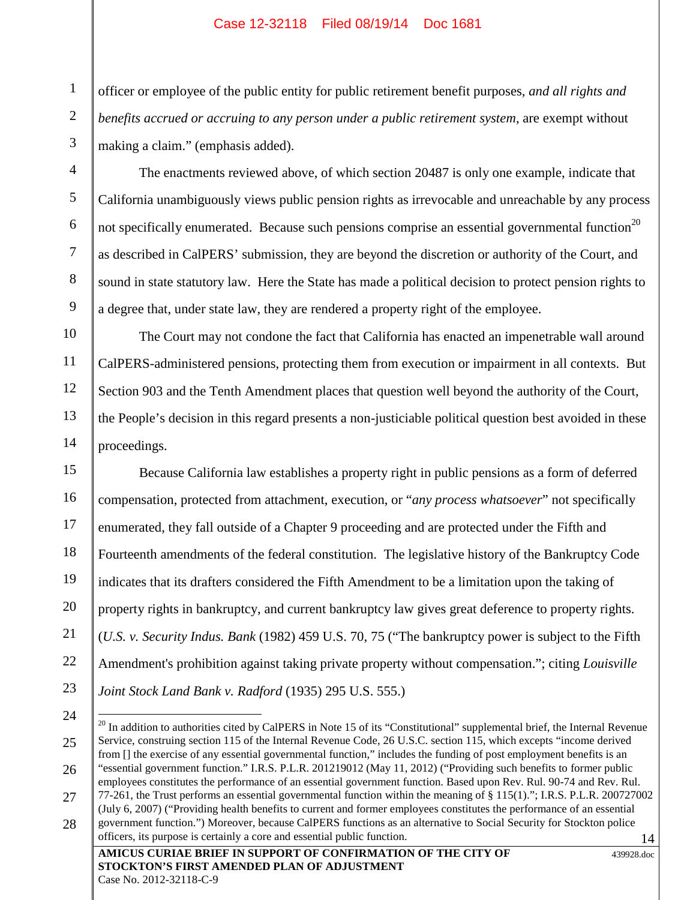1

2

3

4

5

6

7

8

9

10

11

12

13

14

officer or employee of the public entity for public retirement benefit purposes, *and all rights and benefits accrued or accruing to any person under a public retirement system*, are exempt without making a claim." (emphasis added).

The enactments reviewed above, of which section 20487 is only one example, indicate that California unambiguously views public pension rights as irrevocable and unreachable by any process not specifically enumerated. Because such pensions comprise an essential governmental function<sup>20</sup> as described in CalPERS' submission, they are beyond the discretion or authority of the Court, and sound in state statutory law. Here the State has made a political decision to protect pension rights to a degree that, under state law, they are rendered a property right of the employee.

The Court may not condone the fact that California has enacted an impenetrable wall around CalPERS-administered pensions, protecting them from execution or impairment in all contexts. But Section 903 and the Tenth Amendment places that question well beyond the authority of the Court, the People's decision in this regard presents a non-justiciable political question best avoided in these proceedings.

15 16 17 18 19 20 21 22 23 Because California law establishes a property right in public pensions as a form of deferred compensation, protected from attachment, execution, or "*any process whatsoever*" not specifically enumerated, they fall outside of a Chapter 9 proceeding and are protected under the Fifth and Fourteenth amendments of the federal constitution. The legislative history of the Bankruptcy Code indicates that its drafters considered the Fifth Amendment to be a limitation upon the taking of property rights in bankruptcy, and current bankruptcy law gives great deference to property rights. (*U.S. v. Security Indus. Bank* (1982) 459 U.S. 70, 75 ("The bankruptcy power is subject to the Fifth Amendment's prohibition against taking private property without compensation."; citing *Louisville Joint Stock Land Bank v. Radford* (1935) 295 U.S. 555.)

<sup>14</sup> 24 25 26 27 28  $^{20}$  In addition to authorities cited by CalPERS in Note 15 of its "Constitutional" supplemental brief, the Internal Revenue Service, construing section 115 of the Internal Revenue Code, 26 U.S.C. section 115, which excepts "income derived from [] the exercise of any essential governmental function," includes the funding of post employment benefits is an "essential government function." I.R.S. P.L.R. 201219012 (May 11, 2012) ("Providing such benefits to former public employees constitutes the performance of an essential government function. Based upon Rev. Rul. 90-74 and Rev. Rul. 77-261, the Trust performs an essential governmental function within the meaning of § 115(1)."; I.R.S. P.L.R. 200727002 (July 6, 2007) ("Providing health benefits to current and former employees constitutes the performance of an essential government function.") Moreover, because CalPERS functions as an alternative to Social Security for Stockton police officers, its purpose is certainly a core and essential public function.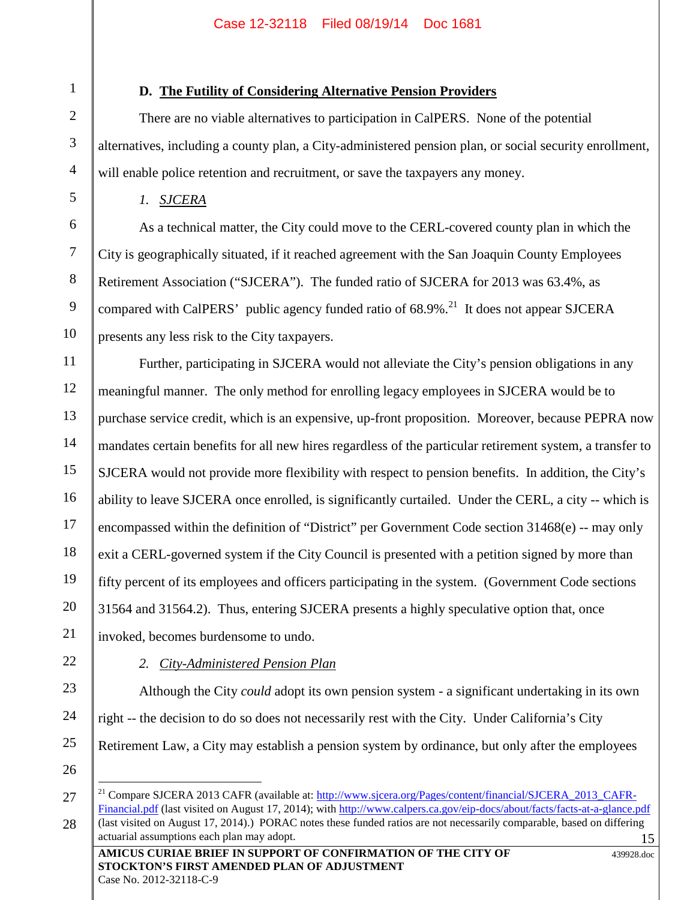## **D. The Futility of Considering Alternative Pension Providers**

There are no viable alternatives to participation in CalPERS. None of the potential alternatives, including a county plan, a City-administered pension plan, or social security enrollment, will enable police retention and recruitment, or save the taxpayers any money.

*1. SJCERA*

As a technical matter, the City could move to the CERL-covered county plan in which the City is geographically situated, if it reached agreement with the San Joaquin County Employees Retirement Association ("SJCERA"). The funded ratio of SJCERA for 2013 was 63.4%, as compared with CalPERS' public agency funded ratio of  $68.9\%$ <sup>21</sup>. It does not appear SJCERA presents any less risk to the City taxpayers.

11 12 13 14 15 16 17 18 19 20 21 Further, participating in SJCERA would not alleviate the City's pension obligations in any meaningful manner. The only method for enrolling legacy employees in SJCERA would be to purchase service credit, which is an expensive, up-front proposition. Moreover, because PEPRA now mandates certain benefits for all new hires regardless of the particular retirement system, a transfer to SJCERA would not provide more flexibility with respect to pension benefits. In addition, the City's ability to leave SJCERA once enrolled, is significantly curtailed. Under the CERL, a city -- which is encompassed within the definition of "District" per Government Code section 31468(e) -- may only exit a CERL-governed system if the City Council is presented with a petition signed by more than fifty percent of its employees and officers participating in the system. (Government Code sections 31564 and 31564.2). Thus, entering SJCERA presents a highly speculative option that, once invoked, becomes burdensome to undo.

23

24

1

2

3

4

5

6

7

8

9

10

*2. City-Administered Pension Plan*

Although the City *could* adopt its own pension system - a significant undertaking in its own right -- the decision to do so does not necessarily rest with the City. Under California's City Retirement Law, a City may establish a pension system by ordinance, but only after the employees

26

<sup>15</sup> 27 28 <sup>21</sup> Compare SJCERA 2013 CAFR (available at: http://www.sjcera.org/Pages/content/financial/SJCERA\_2013\_CAFR-Financial.pdf (last visited on August 17, 2014); with http://www.calpers.ca.gov/eip-docs/about/facts/facts-at-a-glance.pdf (last visited on August 17, 2014).) PORAC notes these funded ratios are not necessarily comparable, based on differing actuarial assumptions each plan may adopt.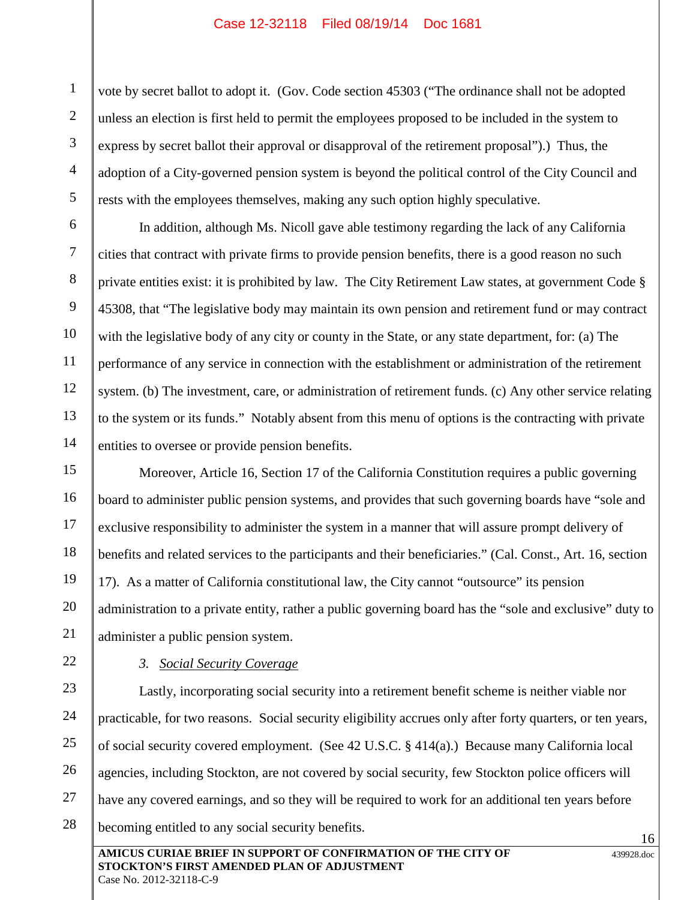vote by secret ballot to adopt it. (Gov. Code section 45303 ("The ordinance shall not be adopted unless an election is first held to permit the employees proposed to be included in the system to express by secret ballot their approval or disapproval of the retirement proposal").) Thus, the adoption of a City-governed pension system is beyond the political control of the City Council and rests with the employees themselves, making any such option highly speculative.

In addition, although Ms. Nicoll gave able testimony regarding the lack of any California cities that contract with private firms to provide pension benefits, there is a good reason no such private entities exist: it is prohibited by law. The City Retirement Law states, at government Code § 45308, that "The legislative body may maintain its own pension and retirement fund or may contract with the legislative body of any city or county in the State, or any state department, for: (a) The performance of any service in connection with the establishment or administration of the retirement system. (b) The investment, care, or administration of retirement funds. (c) Any other service relating to the system or its funds." Notably absent from this menu of options is the contracting with private entities to oversee or provide pension benefits.

15 16 17 18 19 20 Moreover, Article 16, Section 17 of the California Constitution requires a public governing board to administer public pension systems, and provides that such governing boards have "sole and exclusive responsibility to administer the system in a manner that will assure prompt delivery of benefits and related services to the participants and their beneficiaries." (Cal. Const., Art. 16, section 17). As a matter of California constitutional law, the City cannot "outsource" its pension administration to a private entity, rather a public governing board has the "sole and exclusive" duty to administer a public pension system.

# 21 22

1

2

3

4

5

6

7

8

9

10

11

12

13

14

## *3. Social Security Coverage*

23 24 25 26 27 28 Lastly, incorporating social security into a retirement benefit scheme is neither viable nor practicable, for two reasons. Social security eligibility accrues only after forty quarters, or ten years, of social security covered employment. (See 42 U.S.C. § 414(a).) Because many California local agencies, including Stockton, are not covered by social security, few Stockton police officers will have any covered earnings, and so they will be required to work for an additional ten years before becoming entitled to any social security benefits.

439928.doc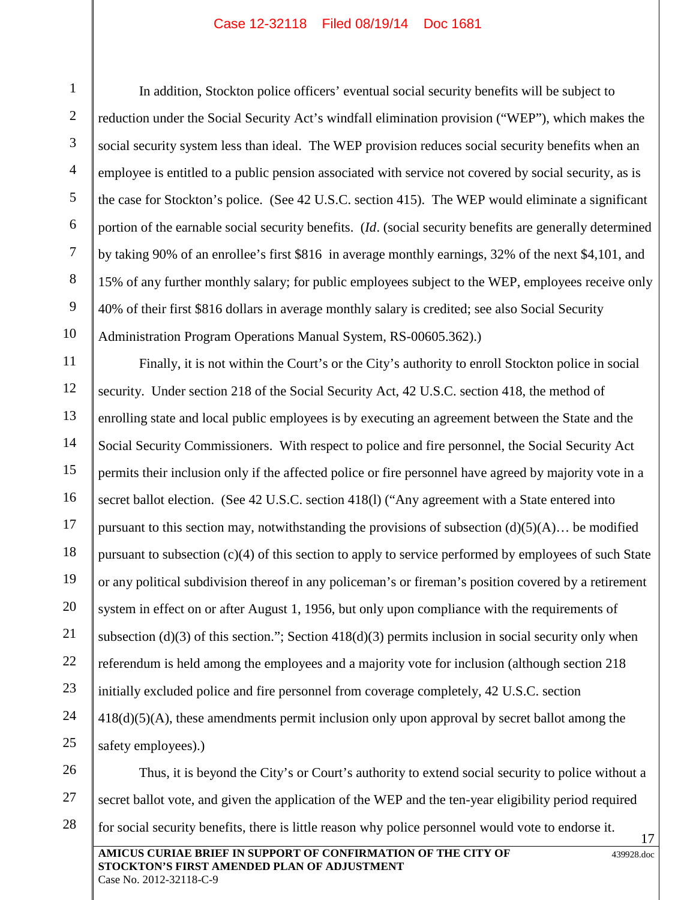1

In addition, Stockton police officers' eventual social security benefits will be subject to reduction under the Social Security Act's windfall elimination provision ("WEP"), which makes the social security system less than ideal. The WEP provision reduces social security benefits when an employee is entitled to a public pension associated with service not covered by social security, as is the case for Stockton's police. (See 42 U.S.C. section 415). The WEP would eliminate a significant portion of the earnable social security benefits. (*Id*. (social security benefits are generally determined by taking 90% of an enrollee's first \$816 in average monthly earnings, 32% of the next \$4,101, and 15% of any further monthly salary; for public employees subject to the WEP, employees receive only 40% of their first \$816 dollars in average monthly salary is credited; see also Social Security Administration Program Operations Manual System, RS-00605.362).)

Finally, it is not within the Court's or the City's authority to enroll Stockton police in social security. Under section 218 of the Social Security Act, 42 U.S.C. section 418, the method of enrolling state and local public employees is by executing an agreement between the State and the Social Security Commissioners. With respect to police and fire personnel, the Social Security Act permits their inclusion only if the affected police or fire personnel have agreed by majority vote in a secret ballot election. (See 42 U.S.C. section 418(1) ("Any agreement with a State entered into pursuant to this section may, notwithstanding the provisions of subsection  $(d)(5)(A)$ … be modified pursuant to subsection (c)(4) of this section to apply to service performed by employees of such State or any political subdivision thereof in any policeman's or fireman's position covered by a retirement system in effect on or after August 1, 1956, but only upon compliance with the requirements of subsection (d)(3) of this section."; Section 418(d)(3) permits inclusion in social security only when referendum is held among the employees and a majority vote for inclusion (although section 218 initially excluded police and fire personnel from coverage completely, 42 U.S.C. section 418(d)(5)(A), these amendments permit inclusion only upon approval by secret ballot among the safety employees).)

**AMICUS CURIAE BRIEF IN SUPPORT OF CONFIRMATION OF THE CITY OF STOCKTON'S FIRST AMENDED PLAN OF ADJUSTMENT** 439928.doc Case No. 2012-32118-C-9 17 26 27 28 Thus, it is beyond the City's or Court's authority to extend social security to police without a secret ballot vote, and given the application of the WEP and the ten-year eligibility period required for social security benefits, there is little reason why police personnel would vote to endorse it.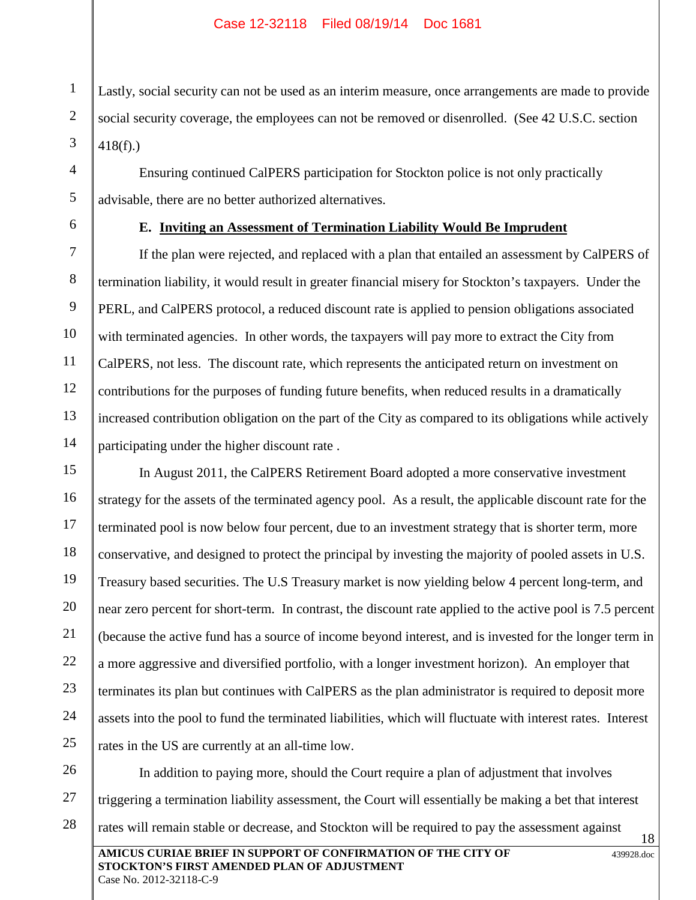Lastly, social security can not be used as an interim measure, once arrangements are made to provide social security coverage, the employees can not be removed or disenrolled. (See 42 U.S.C. section 418(f).)

Ensuring continued CalPERS participation for Stockton police is not only practically advisable, there are no better authorized alternatives.

1

2

3

4

5

6

7

8

9

10

11

12

13

14

## **E. Inviting an Assessment of Termination Liability Would Be Imprudent**

If the plan were rejected, and replaced with a plan that entailed an assessment by CalPERS of termination liability, it would result in greater financial misery for Stockton's taxpayers. Under the PERL, and CalPERS protocol, a reduced discount rate is applied to pension obligations associated with terminated agencies. In other words, the taxpayers will pay more to extract the City from CalPERS, not less. The discount rate, which represents the anticipated return on investment on contributions for the purposes of funding future benefits, when reduced results in a dramatically increased contribution obligation on the part of the City as compared to its obligations while actively participating under the higher discount rate .

15 16 17 18 19 20 21 22 23 24 25 In August 2011, the CalPERS Retirement Board adopted a more conservative investment strategy for the assets of the terminated agency pool. As a result, the applicable discount rate for the terminated pool is now below four percent, due to an investment strategy that is shorter term, more conservative, and designed to protect the principal by investing the majority of pooled assets in U.S. Treasury based securities. The U.S Treasury market is now yielding below 4 percent long-term, and near zero percent for short-term. In contrast, the discount rate applied to the active pool is 7.5 percent (because the active fund has a source of income beyond interest, and is invested for the longer term in a more aggressive and diversified portfolio, with a longer investment horizon). An employer that terminates its plan but continues with CalPERS as the plan administrator is required to deposit more assets into the pool to fund the terminated liabilities, which will fluctuate with interest rates. Interest rates in the US are currently at an all-time low.

**AMICUS CURIAE BRIEF IN SUPPORT OF CONFIRMATION OF THE CITY OF STOCKTON'S FIRST AMENDED PLAN OF ADJUSTMENT** 439928.doc 18 26 27 28 In addition to paying more, should the Court require a plan of adjustment that involves triggering a termination liability assessment, the Court will essentially be making a bet that interest rates will remain stable or decrease, and Stockton will be required to pay the assessment against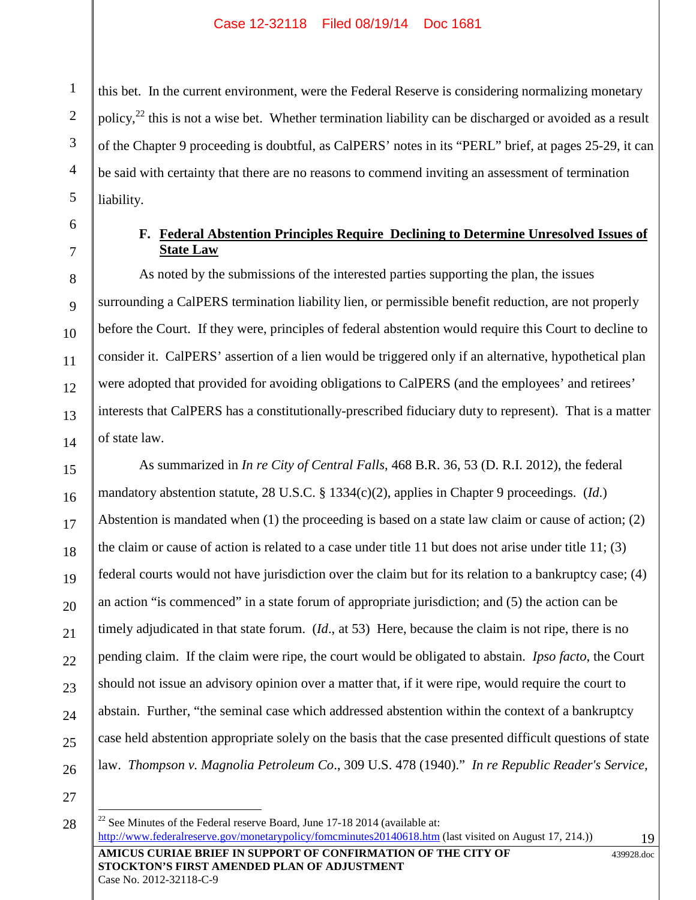this bet. In the current environment, were the Federal Reserve is considering normalizing monetary policy, $^{22}$  this is not a wise bet. Whether termination liability can be discharged or avoided as a result of the Chapter 9 proceeding is doubtful, as CalPERS' notes in its "PERL" brief, at pages 25-29, it can be said with certainty that there are no reasons to commend inviting an assessment of termination liability.

1

2

3

4

5

6

7

8

9

10

11

12

13

14

15

16

17

18

19

20

21

22

23

24

25

26

## **F. Federal Abstention Principles Require Declining to Determine Unresolved Issues of State Law**

As noted by the submissions of the interested parties supporting the plan, the issues surrounding a CalPERS termination liability lien, or permissible benefit reduction, are not properly before the Court. If they were, principles of federal abstention would require this Court to decline to consider it. CalPERS' assertion of a lien would be triggered only if an alternative, hypothetical plan were adopted that provided for avoiding obligations to CalPERS (and the employees' and retirees' interests that CalPERS has a constitutionally-prescribed fiduciary duty to represent). That is a matter of state law.

As summarized in *In re City of Central Falls*, 468 B.R. 36, 53 (D. R.I. 2012), the federal mandatory abstention statute, 28 U.S.C. § 1334(c)(2), applies in Chapter 9 proceedings. (*Id*.) Abstention is mandated when (1) the proceeding is based on a state law claim or cause of action; (2) the claim or cause of action is related to a case under title 11 but does not arise under title 11; (3) federal courts would not have jurisdiction over the claim but for its relation to a bankruptcy case; (4) an action "is commenced" in a state forum of appropriate jurisdiction; and (5) the action can be timely adjudicated in that state forum. (*Id*., at 53) Here, because the claim is not ripe, there is no pending claim. If the claim were ripe, the court would be obligated to abstain. *Ipso facto*, the Court should not issue an advisory opinion over a matter that, if it were ripe, would require the court to abstain. Further, "the seminal case which addressed abstention within the context of a bankruptcy case held abstention appropriate solely on the basis that the case presented difficult questions of state law. *Thompson v. Magnolia Petroleum Co*., 309 U.S. 478 (1940)." *In re Republic Reader's Service,*

27 28

Case No. 2012-32118-C-9

**AMICUS CURIAE BRIEF IN SUPPORT OF CONFIRMATION OF THE CITY OF STOCKTON'S FIRST AMENDED PLAN OF ADJUSTMENT**  $22$  See Minutes of the Federal reserve Board, June 17-18 2014 (available at: http://www.federalreserve.gov/monetarypolicy/fomcminutes20140618.htm (last visited on August 17, 214.))